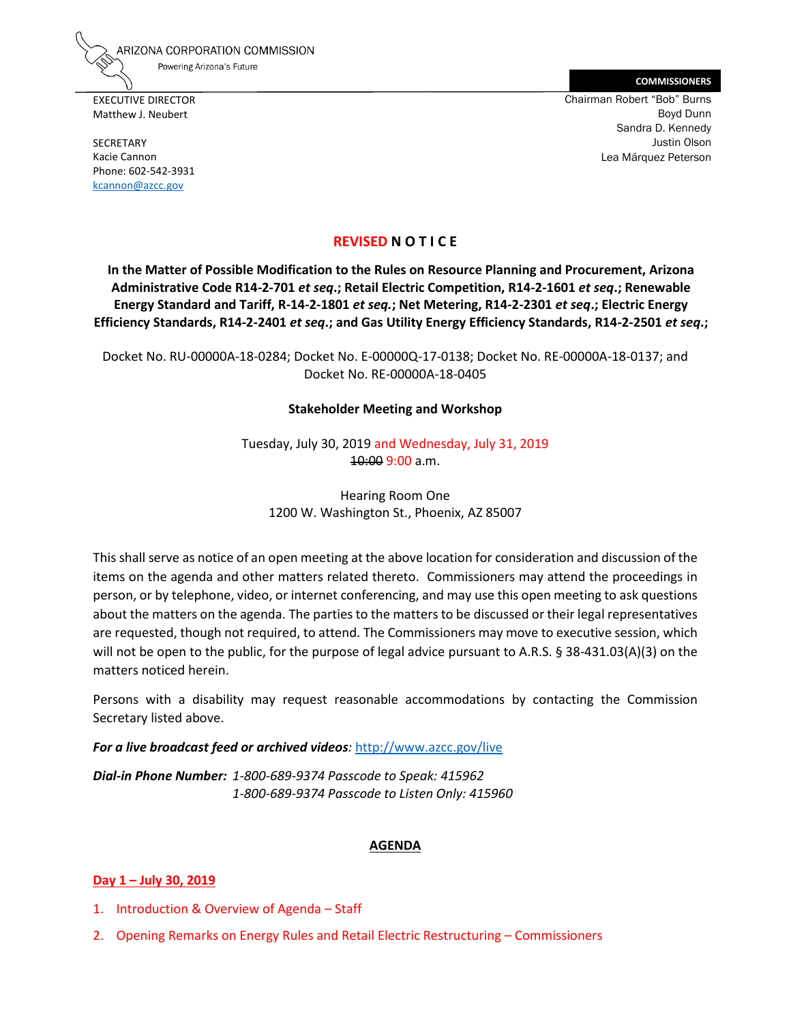ARIZONA CORPORATION COMMISSION Powering Arizona's Future

EXECUTIVE DIRECTOR Matthew J. Neubert

SECRETARY Kacie Cannon Phone: 602-542-3931 [kcannon@azcc.gov](mailto:kcannon@azcc.gov)

**COMMISSIONERS** Chairman Robert "Bob" Burns Boyd Dunn Sandra D. Kennedy Justin Olson Lea Márquez Peterson

## **REVISED N O T I C E**

**In the Matter of Possible Modification to the Rules on Resource Planning and Procurement, Arizona Administrative Code R14-2-701** *et seq***.; Retail Electric Competition, R14-2-1601** *et seq***.; Renewable Energy Standard and Tariff, R-14-2-1801** *et seq.***; Net Metering, R14-2-2301** *et seq***.; Electric Energy Efficiency Standards, R14-2-2401** *et seq***.; and Gas Utility Energy Efficiency Standards, R14-2-2501** *et seq***.;** 

Docket No. RU-00000A-18-0284; Docket No. E-00000Q-17-0138; Docket No. RE-00000A-18-0137; and Docket No. RE-00000A-18-0405

#### **Stakeholder Meeting and Workshop**

Tuesday, July 30, 2019 and Wednesday, July 31, 2019 10:00 9:00 a.m.

Hearing Room One 1200 W. Washington St., Phoenix, AZ 85007

This shall serve as notice of an open meeting at the above location for consideration and discussion of the items on the agenda and other matters related thereto. Commissioners may attend the proceedings in person, or by telephone, video, or internet conferencing, and may use this open meeting to ask questions about the matters on the agenda. The parties to the matters to be discussed or their legal representatives are requested, though not required, to attend. The Commissioners may move to executive session, which will not be open to the public, for the purpose of legal advice pursuant to A.R.S. § 38-431.03(A)(3) on the matters noticed herein.

Persons with a disability may request reasonable accommodations by contacting the Commission Secretary listed above.

#### *For a live broadcast feed or archived videos:* <http://www.azcc.gov/live>

*Dial-in Phone Number: 1-800-689-9374 Passcode to Speak: 415962 1-800-689-9374 Passcode to Listen Only: 415960*

#### **AGENDA**

#### **Day 1 – July 30, 2019**

- 1. Introduction & Overview of Agenda Staff
- 2. Opening Remarks on Energy Rules and Retail Electric Restructuring Commissioners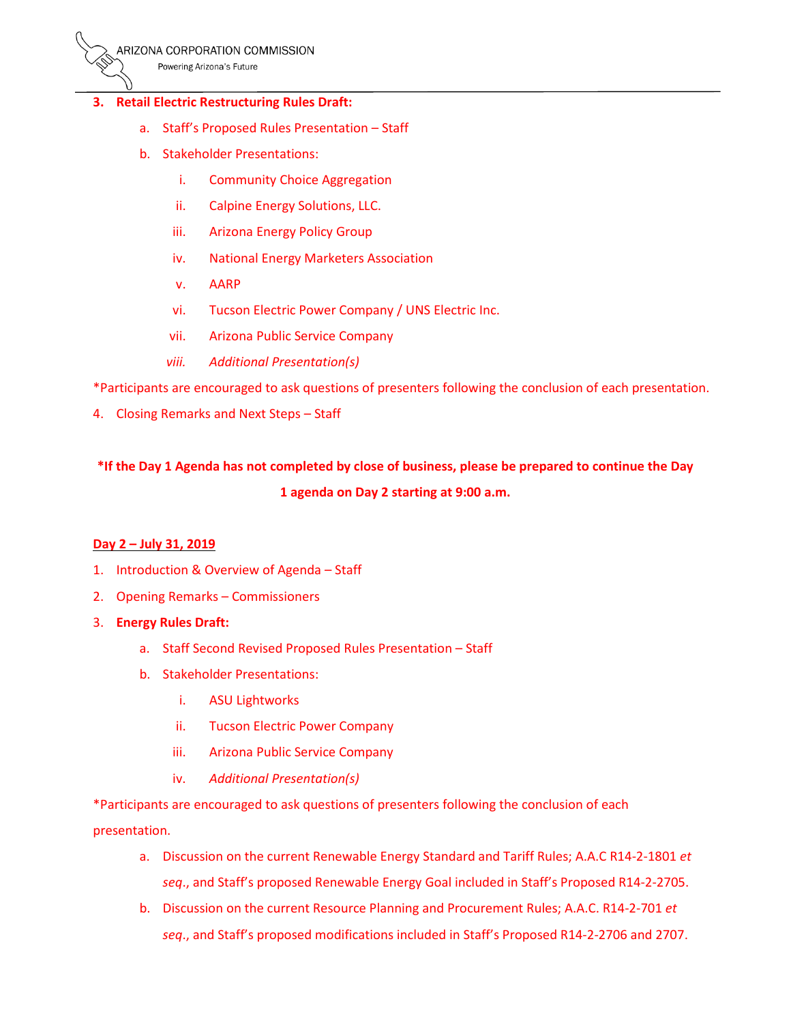Powering Arizona's Future

#### **3. Retail Electric Restructuring Rules Draft:**

- a. Staff's Proposed Rules Presentation Staff
- b. Stakeholder Presentations:
	- i. Community Choice Aggregation
	- ii. Calpine Energy Solutions, LLC.
	- iii. Arizona Energy Policy Group
	- iv. National Energy Marketers Association
	- v. AARP
	- vi. Tucson Electric Power Company / UNS Electric Inc.
	- vii. Arizona Public Service Company
	- *viii. Additional Presentation(s)*

\*Participants are encouraged to ask questions of presenters following the conclusion of each presentation.

4. Closing Remarks and Next Steps – Staff

# \*If the Day 1 Agenda has not completed by close of business, please be prepared to continue the Day **1 agenda on Day 2 starting at 9:00 a.m.**

#### **Day 2 – July 31, 2019**

- 1. Introduction & Overview of Agenda Staff
- 2. Opening Remarks Commissioners
- 3. **Energy Rules Draft:**
	- a. Staff Second Revised Proposed Rules Presentation Staff
	- b. Stakeholder Presentations:
		- i. ASU Lightworks
		- ii. Tucson Electric Power Company
		- iii. Arizona Public Service Company
		- iv. *Additional Presentation(s)*

\*Participants are encouraged to ask questions of presenters following the conclusion of each presentation.

- a. Discussion on the current Renewable Energy Standard and Tariff Rules; A.A.C R14-2-1801 *et seq*., and Staff's proposed Renewable Energy Goal included in Staff's Proposed R14-2-2705.
- b. Discussion on the current Resource Planning and Procurement Rules; A.A.C. R14-2-701 *et seq*., and Staff's proposed modifications included in Staff's Proposed R14-2-2706 and 2707.